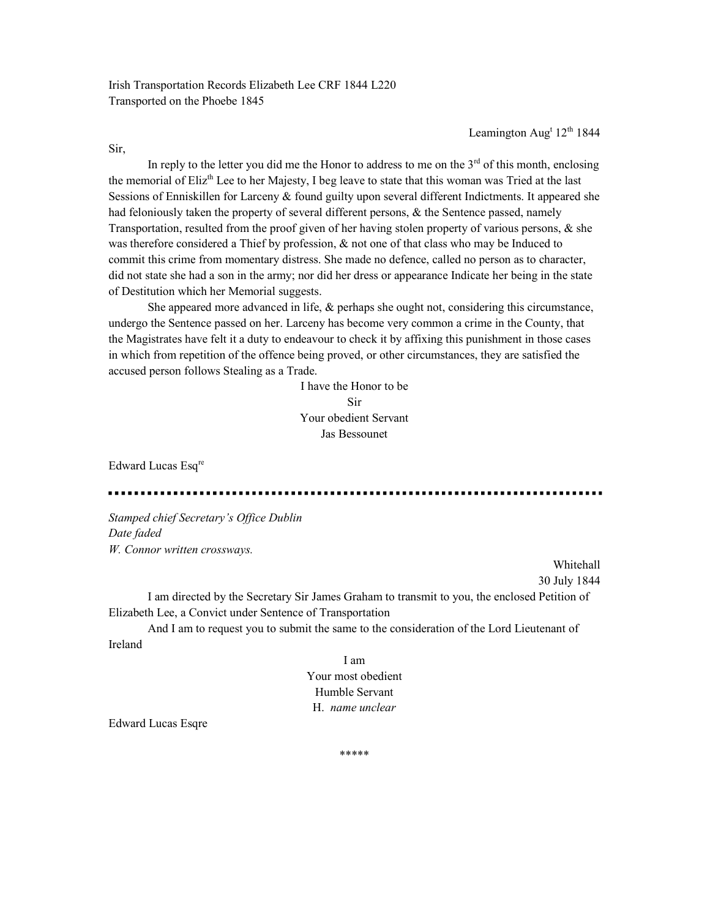Irish Transportation Records Elizabeth Lee CRF 1844 L220 Transported on the Phoebe 1845

Leamington Aug<sup>t</sup> 12<sup>th</sup> 1844

Sir,

In reply to the letter you did me the Honor to address to me on the  $3<sup>rd</sup>$  of this month, enclosing the memorial of Eliz<sup>th</sup> Lee to her Majesty, I beg leave to state that this woman was Tried at the last Sessions of Enniskillen for Larceny & found guilty upon several different Indictments. It appeared she had feloniously taken the property of several different persons, & the Sentence passed, namely Transportation, resulted from the proof given of her having stolen property of various persons, & she was therefore considered a Thief by profession,  $\&$  not one of that class who may be Induced to commit this crime from momentary distress. She made no defence, called no person as to character, did not state she had a son in the army; nor did her dress or appearance Indicate her being in the state of Destitution which her Memorial suggests.

 She appeared more advanced in life, & perhaps she ought not, considering this circumstance, undergo the Sentence passed on her. Larceny has become very common a crime in the County, that the Magistrates have felt it a duty to endeavour to check it by affixing this punishment in those cases in which from repetition of the offence being proved, or other circumstances, they are satisfied the accused person follows Stealing as a Trade.

> I have the Honor to be Sir Your obedient Servant Jas Bessounet

Edward Lucas Esq<sup>re</sup>

Stamped chief Secretary's Office Dublin Date faded W. Connor written crossways.

> Whitehall 30 July 1844

 I am directed by the Secretary Sir James Graham to transmit to you, the enclosed Petition of Elizabeth Lee, a Convict under Sentence of Transportation

 And I am to request you to submit the same to the consideration of the Lord Lieutenant of Ireland

> I am Your most obedient Humble Servant H. name unclear

Edward Lucas Esqre

\*\*\*\*\*